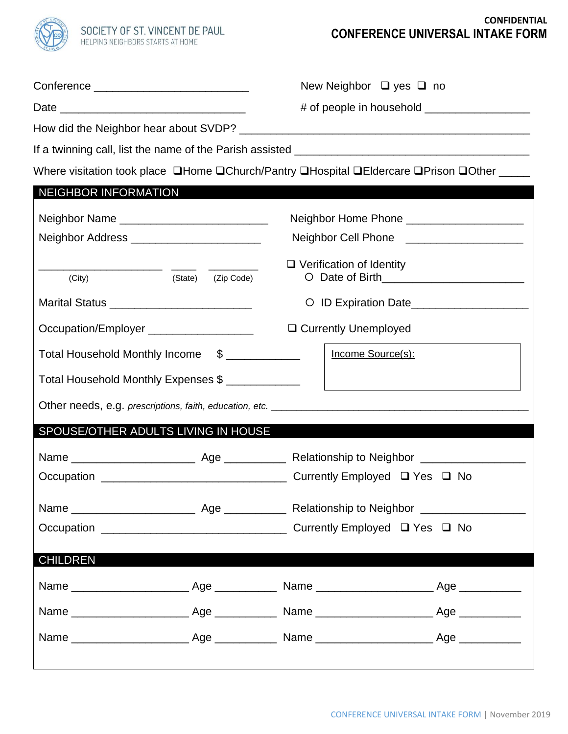

## **CONFIDENTIAL CONFERENCE UNIVERSAL INTAKE FORM**

| Conference | New Neighbor $\Box$ yes $\Box$ no |  |  |
|------------|-----------------------------------|--|--|

Date \_\_\_\_\_\_\_\_\_\_\_\_\_\_\_\_\_\_\_\_\_\_\_\_\_\_\_\_\_\_ # of people in household \_\_\_\_\_\_\_\_\_\_\_\_\_\_\_\_\_

How did the Neighbor hear about SVDP? \_\_\_\_\_\_\_\_\_\_\_\_\_\_\_\_\_\_\_\_\_\_\_\_\_\_\_\_\_\_\_\_\_\_\_\_\_\_\_\_\_\_\_\_\_\_\_

If a twinning call, list the name of the Parish assisted \_\_\_\_\_\_\_\_\_\_\_\_\_\_\_\_\_\_\_\_\_\_\_\_\_\_\_\_\_\_\_\_\_\_\_\_\_\_

Where visitation took place **QHome QChurch/Pantry QHospital QEIdercare QPrison QOther** \_\_\_\_\_

| <b>NEIGHBOR INFORMATION</b>                    |  |                                            |  |  |  |  |  |  |
|------------------------------------------------|--|--------------------------------------------|--|--|--|--|--|--|
| Neighbor Name ________________________________ |  | Neighbor Home Phone ______________________ |  |  |  |  |  |  |
| Neighbor Address ________________________      |  | Neighbor Cell Phone ______________________ |  |  |  |  |  |  |
| (State)<br>(City)<br>(Zip Code)                |  | $\Box$ Verification of Identity            |  |  |  |  |  |  |
| Marital Status _____________________________   |  | O ID Expiration Date___________________    |  |  |  |  |  |  |
| Occupation/Employer _____________________      |  | □ Currently Unemployed                     |  |  |  |  |  |  |
| Total Household Monthly Income \$              |  | Income Source(s):                          |  |  |  |  |  |  |
| Total Household Monthly Expenses \$            |  |                                            |  |  |  |  |  |  |
|                                                |  |                                            |  |  |  |  |  |  |
|                                                |  |                                            |  |  |  |  |  |  |
| SPOUSE/OTHER ADULTS LIVING IN HOUSE            |  |                                            |  |  |  |  |  |  |
|                                                |  |                                            |  |  |  |  |  |  |
|                                                |  |                                            |  |  |  |  |  |  |
|                                                |  |                                            |  |  |  |  |  |  |
|                                                |  |                                            |  |  |  |  |  |  |
| <b>CHILDREN</b>                                |  |                                            |  |  |  |  |  |  |
|                                                |  |                                            |  |  |  |  |  |  |
|                                                |  |                                            |  |  |  |  |  |  |
|                                                |  |                                            |  |  |  |  |  |  |